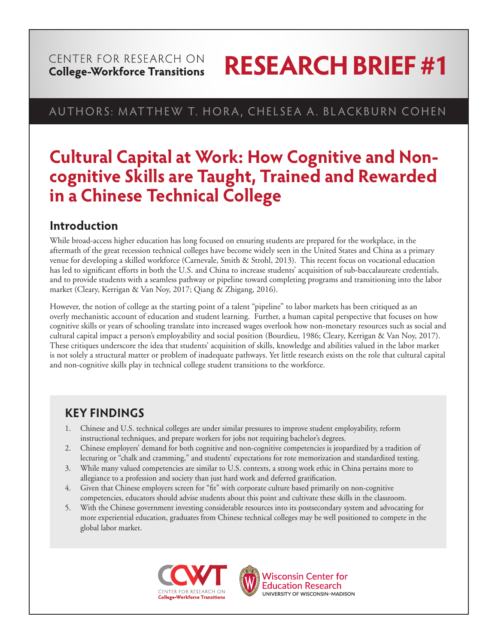#### CENTER FOR RESEARCH ON **College-Workforce Transitions**

# **RESEARCH BRIEF #1**

## AUTHORS: MATTHEW T. HORA, CHELSEA A. BLACKBURN COHEN

## **Cultural Capital at Work: How Cognitive and Noncognitive Skills are Taught, Trained and Rewarded in a Chinese Technical College**

## **Introduction**

While broad-access higher education has long focused on ensuring students are prepared for the workplace, in the aftermath of the great recession technical colleges have become widely seen in the United States and China as a primary venue for developing a skilled workforce (Carnevale, Smith & Strohl, 2013). This recent focus on vocational education has led to significant efforts in both the U.S. and China to increase students' acquisition of sub-baccalaureate credentials, and to provide students with a seamless pathway or pipeline toward completing programs and transitioning into the labor market (Cleary, Kerrigan & Van Noy, 2017; Qiang & Zhigang, 2016).

However, the notion of college as the starting point of a talent "pipeline" to labor markets has been critiqued as an overly mechanistic account of education and student learning. Further, a human capital perspective that focuses on how cognitive skills or years of schooling translate into increased wages overlook how non-monetary resources such as social and cultural capital impact a person's employability and social position (Bourdieu, 1986; Cleary, Kerrigan & Van Noy, 2017). These critiques underscore the idea that students' acquisition of skills, knowledge and abilities valued in the labor market is not solely a structural matter or problem of inadequate pathways. Yet little research exists on the role that cultural capital and non-cognitive skills play in technical college student transitions to the workforce.

## **KEY FINDINGS**

- 1. Chinese and U.S. technical colleges are under similar pressures to improve student employability, reform instructional techniques, and prepare workers for jobs not requiring bachelor's degrees.
- 2. Chinese employers' demand for both cognitive and non-cognitive competencies is jeopardized by a tradition of lecturing or "chalk and cramming," and students' expectations for rote memorization and standardized testing.
- 3. While many valued competencies are similar to U.S. contexts, a strong work ethic in China pertains more to allegiance to a profession and society than just hard work and deferred gratification.
- 4. Given that Chinese employers screen for "fit" with corporate culture based primarily on non-cognitive competencies, educators should advise students about this point and cultivate these skills in the classroom.
- 5. With the Chinese government investing considerable resources into its postsecondary system and advocating for more experiential education, graduates from Chinese technical colleges may be well positioned to compete in the global labor market.





**Wisconsin Center for Education Research** UNIVERSITY OF WISCONSIN-MADISON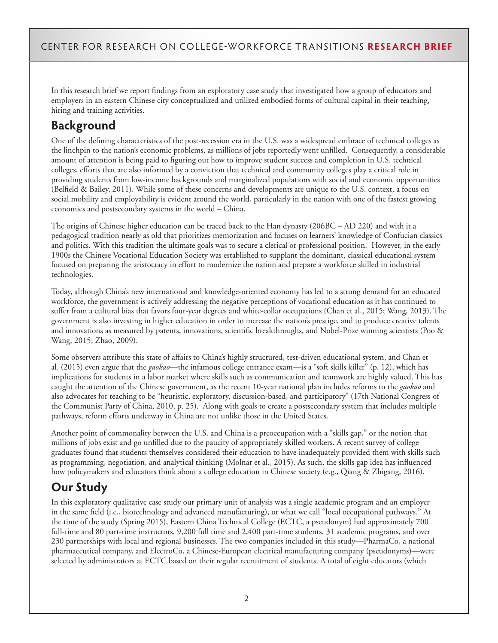In this research brief we report findings from an exploratory case study that investigated how a group of educators and employers in an eastern Chinese city conceptualized and utilized embodied forms of cultural capital in their teaching, hiring and training activities.

## **Background**

One of the defining characteristics of the post-recession era in the U.S. was a widespread embrace of technical colleges as the linchpin to the nation's economic problems, as millions of jobs reportedly went unfilled. Consequently, a considerable amount of attention is being paid to figuring out how to improve student success and completion in U.S. technical colleges, efforts that are also informed by a conviction that technical and community colleges play a critical role in providing students from low-income backgrounds and marginalized populations with social and economic opportunities (Belfield & Bailey, 2011). While some of these concerns and developments are unique to the U.S. context, a focus on social mobility and employability is evident around the world, particularly in the nation with one of the fastest growing economies and postsecondary systems in the world – China.

The origins of Chinese higher education can be traced back to the Han dynasty (206BC – AD 220) and with it a pedagogical tradition nearly as old that prioritizes memorization and focuses on learners' knowledge of Confucian classics and politics. With this tradition the ultimate goals was to secure a clerical or professional position. However, in the early 1900s the Chinese Vocational Education Society was established to supplant the dominant, classical educational system focused on preparing the aristocracy in effort to modernize the nation and prepare a workforce skilled in industrial technologies.

Today, although China's new international and knowledge-oriented economy has led to a strong demand for an educated workforce, the government is actively addressing the negative perceptions of vocational education as it has continued to suffer from a cultural bias that favors four-year degrees and white-collar occupations (Chan et al., 2015; Wang, 2013). The government is also investing in higher education in order to increase the nation's prestige, and to produce creative talents and innovations as measured by patents, innovations, scientific breakthroughs, and Nobel-Prize winning scientists (Poo & Wang, 2015; Zhao, 2009).

Some observers attribute this state of affairs to China's highly structured, test-driven educational system, and Chan et al. (2015) even argue that the *gaokao*—the infamous college entrance exam—is a "soft skills killer" (p. 12), which has implications for students in a labor market where skills such as communication and teamwork are highly valued. This has caught the attention of the Chinese government, as the recent 10-year national plan includes reforms to the *gaokao* and also advocates for teaching to be "heuristic, exploratory, discussion-based, and participatory" (17th National Congress of the Communist Party of China, 2010, p. 25). Along with goals to create a postsecondary system that includes multiple pathways, reform efforts underway in China are not unlike those in the United States.

Another point of commonality between the U.S. and China is a preoccupation with a "skills gap," or the notion that millions of jobs exist and go unfilled due to the paucity of appropriately skilled workers. A recent survey of college graduates found that students themselves considered their education to have inadequately provided them with skills such as programming, negotiation, and analytical thinking (Molnar et al., 2015). As such, the skills gap idea has influenced how policymakers and educators think about a college education in Chinese society (e.g., Qiang & Zhigang, 2016).

## **Our Study**

In this exploratory qualitative case study our primary unit of analysis was a single academic program and an employer in the same field (i.e., biotechnology and advanced manufacturing), or what we call "local occupational pathways." At the time of the study (Spring 2015), Eastern China Technical College (ECTC, a pseudonym) had approximately 700 full-time and 80 part-time instructors, 9,200 full time and 2,400 part-time students, 31 academic programs, and over 230 partnerships with local and regional businesses. The two companies included in this study—PharmaCo, a national pharmaceutical company, and ElectroCo, a Chinese-European electrical manufacturing company (pseudonyms)—were selected by administrators at ECTC based on their regular recruitment of students. A total of eight educators (which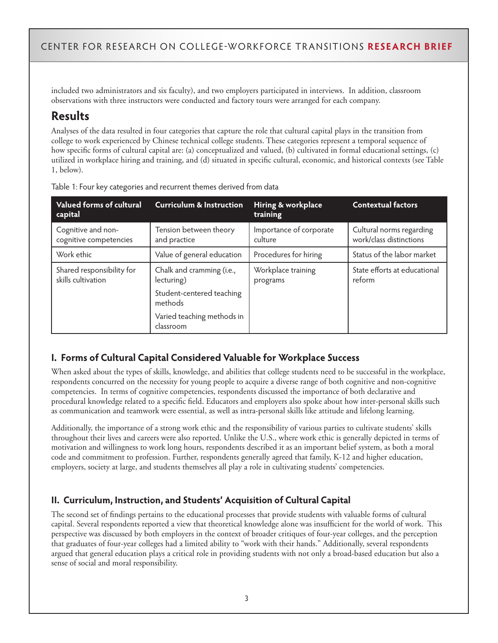included two administrators and six faculty), and two employers participated in interviews. In addition, classroom observations with three instructors were conducted and factory tours were arranged for each company.

## **Results**

Analyses of the data resulted in four categories that capture the role that cultural capital plays in the transition from college to work experienced by Chinese technical college students. These categories represent a temporal sequence of how specific forms of cultural capital are: (a) conceptualized and valued, (b) cultivated in formal educational settings, (c) utilized in workplace hiring and training, and (d) situated in specific cultural, economic, and historical contexts (see Table 1, below).

| <b>Valued forms of cultural</b><br>capital      | <b>Curriculum &amp; Instruction</b>     | Hiring & workplace<br>training     | <b>Contextual factors</b>                           |
|-------------------------------------------------|-----------------------------------------|------------------------------------|-----------------------------------------------------|
| Cognitive and non-<br>cognitive competencies    | Tension between theory<br>and practice  | Importance of corporate<br>culture | Cultural norms regarding<br>work/class distinctions |
| Work ethic                                      | Value of general education              | Procedures for hiring              | Status of the labor market                          |
| Shared responsibility for<br>skills cultivation | Chalk and cramming (i.e.,<br>lecturing) | Workplace training<br>programs     | State efforts at educational<br>reform              |
|                                                 | Student-centered teaching<br>methods    |                                    |                                                     |
|                                                 | Varied teaching methods in<br>classroom |                                    |                                                     |

Table 1: Four key categories and recurrent themes derived from data

#### **I. Forms of Cultural Capital Considered Valuable for Workplace Success**

When asked about the types of skills, knowledge, and abilities that college students need to be successful in the workplace, respondents concurred on the necessity for young people to acquire a diverse range of both cognitive and non-cognitive competencies. In terms of cognitive competencies, respondents discussed the importance of both declarative and procedural knowledge related to a specific field. Educators and employers also spoke about how inter-personal skills such as communication and teamwork were essential, as well as intra-personal skills like attitude and lifelong learning.

Additionally, the importance of a strong work ethic and the responsibility of various parties to cultivate students' skills throughout their lives and careers were also reported. Unlike the U.S., where work ethic is generally depicted in terms of motivation and willingness to work long hours, respondents described it as an important belief system, as both a moral code and commitment to profession. Further, respondents generally agreed that family, K-12 and higher education, employers, society at large, and students themselves all play a role in cultivating students' competencies.

#### **II. Curriculum, Instruction, and Students' Acquisition of Cultural Capital**

The second set of findings pertains to the educational processes that provide students with valuable forms of cultural capital. Several respondents reported a view that theoretical knowledge alone was insufficient for the world of work. This perspective was discussed by both employers in the context of broader critiques of four-year colleges, and the perception that graduates of four-year colleges had a limited ability to "work with their hands." Additionally, several respondents argued that general education plays a critical role in providing students with not only a broad-based education but also a sense of social and moral responsibility.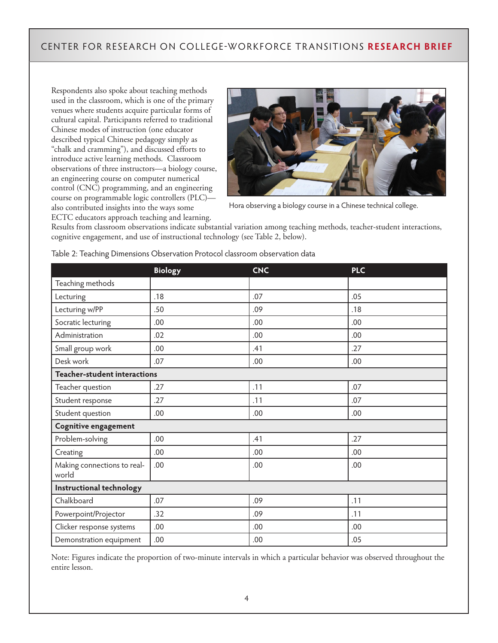Respondents also spoke about teaching methods used in the classroom, which is one of the primary venues where students acquire particular forms of cultural capital. Participants referred to traditional Chinese modes of instruction (one educator described typical Chinese pedagogy simply as "chalk and cramming"), and discussed efforts to introduce active learning methods. Classroom observations of three instructors—a biology course, an engineering course on computer numerical control (CNC) programming, and an engineering course on programmable logic controllers (PLC) also contributed insights into the ways some ECTC educators approach teaching and learning.



Hora observing a biology course in a Chinese technical college.

Results from classroom observations indicate substantial variation among teaching methods, teacher-student interactions, cognitive engagement, and use of instructional technology (see Table 2, below).

|                                      | <b>Biology</b> | <b>CNC</b> | <b>PLC</b> |  |
|--------------------------------------|----------------|------------|------------|--|
| Teaching methods                     |                |            |            |  |
| Lecturing                            | .18            | .07        | .05        |  |
| Lecturing w/PP                       | .50            | .09        | .18        |  |
| Socratic lecturing                   | .00            | .00        | .00        |  |
| Administration                       | .02            | .00        | .00        |  |
| Small group work                     | .00            | .41        | .27        |  |
| Desk work                            | .07            | .00.       | .00        |  |
| <b>Teacher-student interactions</b>  |                |            |            |  |
| Teacher question                     | .27            | .11        | .07        |  |
| Student response                     | .27            | .11        | .07        |  |
| Student question                     | .00            | .00        | .00        |  |
| <b>Cognitive engagement</b>          |                |            |            |  |
| Problem-solving                      | .00            | .41        | .27        |  |
| Creating                             | .00            | .00        | .00        |  |
| Making connections to real-<br>world | .00            | .00        | .00        |  |
| Instructional technology             |                |            |            |  |
| Chalkboard                           | .07            | .09        | .11        |  |
| Powerpoint/Projector                 | .32            | .09        | .11        |  |
| Clicker response systems             | .00.           | .00        | .00        |  |
| Demonstration equipment              | .00.           | .00        | .05        |  |

Table 2: Teaching Dimensions Observation Protocol classroom observation data

Note: Figures indicate the proportion of two-minute intervals in which a particular behavior was observed throughout the entire lesson.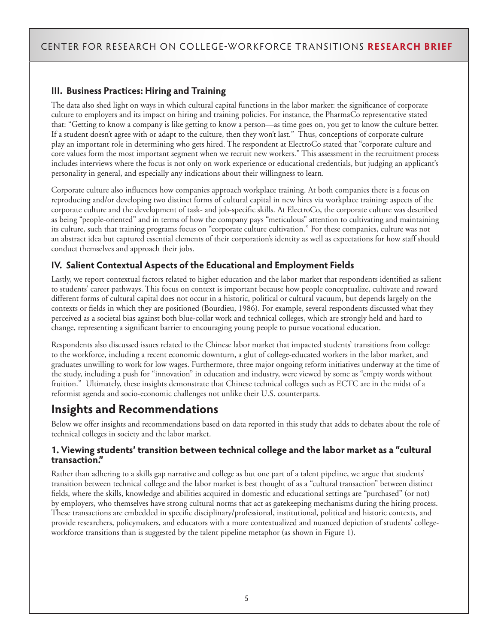#### **III. Business Practices: Hiring and Training**

The data also shed light on ways in which cultural capital functions in the labor market: the significance of corporate culture to employers and its impact on hiring and training policies. For instance, the PharmaCo representative stated that: "Getting to know a company is like getting to know a person—as time goes on, you get to know the culture better. If a student doesn't agree with or adapt to the culture, then they won't last." Thus, conceptions of corporate culture play an important role in determining who gets hired. The respondent at ElectroCo stated that "corporate culture and core values form the most important segment when we recruit new workers." This assessment in the recruitment process includes interviews where the focus is not only on work experience or educational credentials, but judging an applicant's personality in general, and especially any indications about their willingness to learn.

Corporate culture also influences how companies approach workplace training. At both companies there is a focus on reproducing and/or developing two distinct forms of cultural capital in new hires via workplace training: aspects of the corporate culture and the development of task- and job-specific skills. At ElectroCo, the corporate culture was described as being "people-oriented" and in terms of how the company pays "meticulous" attention to cultivating and maintaining its culture, such that training programs focus on "corporate culture cultivation." For these companies, culture was not an abstract idea but captured essential elements of their corporation's identity as well as expectations for how staff should conduct themselves and approach their jobs.

#### **IV. Salient Contextual Aspects of the Educational and Employment Fields**

Lastly, we report contextual factors related to higher education and the labor market that respondents identified as salient to students' career pathways. This focus on context is important because how people conceptualize, cultivate and reward different forms of cultural capital does not occur in a historic, political or cultural vacuum, but depends largely on the contexts or fields in which they are positioned (Bourdieu, 1986). For example, several respondents discussed what they perceived as a societal bias against both blue-collar work and technical colleges, which are strongly held and hard to change, representing a significant barrier to encouraging young people to pursue vocational education.

Respondents also discussed issues related to the Chinese labor market that impacted students' transitions from college to the workforce, including a recent economic downturn, a glut of college-educated workers in the labor market, and graduates unwilling to work for low wages. Furthermore, three major ongoing reform initiatives underway at the time of the study, including a push for "innovation" in education and industry, were viewed by some as "empty words without fruition." Ultimately, these insights demonstrate that Chinese technical colleges such as ECTC are in the midst of a reformist agenda and socio-economic challenges not unlike their U.S. counterparts.

### **Insights and Recommendations**

Below we offer insights and recommendations based on data reported in this study that adds to debates about the role of technical colleges in society and the labor market.

#### **1. Viewing students' transition between technical college and the labor market as a "cultural transaction."**

Rather than adhering to a skills gap narrative and college as but one part of a talent pipeline, we argue that students' transition between technical college and the labor market is best thought of as a "cultural transaction" between distinct fields, where the skills, knowledge and abilities acquired in domestic and educational settings are "purchased" (or not) by employers, who themselves have strong cultural norms that act as gatekeeping mechanisms during the hiring process. These transactions are embedded in specific disciplinary/professional, institutional, political and historic contexts, and provide researchers, policymakers, and educators with a more contextualized and nuanced depiction of students' collegeworkforce transitions than is suggested by the talent pipeline metaphor (as shown in Figure 1).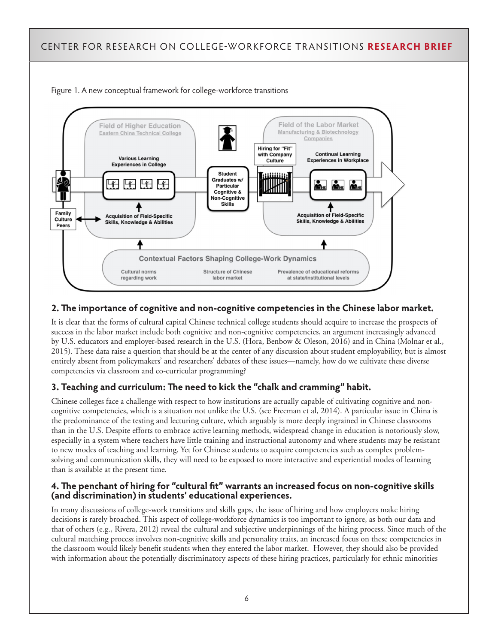



#### **2. The importance of cognitive and non-cognitive competencies in the Chinese labor market.**

It is clear that the forms of cultural capital Chinese technical college students should acquire to increase the prospects of success in the labor market include both cognitive and non-cognitive competencies, an argument increasingly advanced by U.S. educators and employer-based research in the U.S. (Hora, Benbow & Oleson, 2016) and in China (Molnar et al., 2015). These data raise a question that should be at the center of any discussion about student employability, but is almost entirely absent from policymakers' and researchers' debates of these issues—namely, how do we cultivate these diverse competencies via classroom and co-curricular programming?

#### **3. Teaching and curriculum: The need to kick the "chalk and cramming" habit.**

Chinese colleges face a challenge with respect to how institutions are actually capable of cultivating cognitive and noncognitive competencies, which is a situation not unlike the U.S. (see Freeman et al, 2014). A particular issue in China is the predominance of the testing and lecturing culture, which arguably is more deeply ingrained in Chinese classrooms than in the U.S. Despite efforts to embrace active learning methods, widespread change in education is notoriously slow, especially in a system where teachers have little training and instructional autonomy and where students may be resistant to new modes of teaching and learning. Yet for Chinese students to acquire competencies such as complex problemsolving and communication skills, they will need to be exposed to more interactive and experiential modes of learning than is available at the present time.

#### **4. The penchant of hiring for "cultural fit" warrants an increased focus on non-cognitive skills (and discrimination) in students' educational experiences.**

In many discussions of college-work transitions and skills gaps, the issue of hiring and how employers make hiring decisions is rarely broached. This aspect of college-workforce dynamics is too important to ignore, as both our data and that of others (e.g., Rivera, 2012) reveal the cultural and subjective underpinnings of the hiring process. Since much of the cultural matching process involves non-cognitive skills and personality traits, an increased focus on these competencies in the classroom would likely benefit students when they entered the labor market. However, they should also be provided with information about the potentially discriminatory aspects of these hiring practices, particularly for ethnic minorities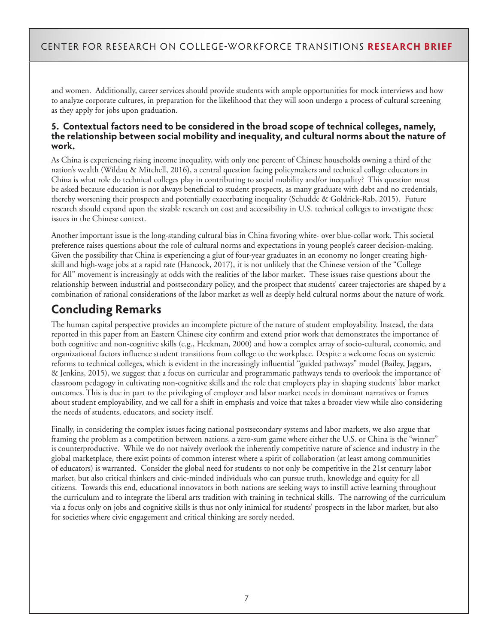and women. Additionally, career services should provide students with ample opportunities for mock interviews and how to analyze corporate cultures, in preparation for the likelihood that they will soon undergo a process of cultural screening as they apply for jobs upon graduation.

#### **5. Contextual factors need to be considered in the broad scope of technical colleges, namely, the relationship between social mobility and inequality, and cultural norms about the nature of work.**

As China is experiencing rising income inequality, with only one percent of Chinese households owning a third of the nation's wealth (Wildau & Mitchell, 2016), a central question facing policymakers and technical college educators in China is what role do technical colleges play in contributing to social mobility and/or inequality? This question must be asked because education is not always beneficial to student prospects, as many graduate with debt and no credentials, thereby worsening their prospects and potentially exacerbating inequality (Schudde & Goldrick-Rab, 2015). Future research should expand upon the sizable research on cost and accessibility in U.S. technical colleges to investigate these issues in the Chinese context.

Another important issue is the long-standing cultural bias in China favoring white- over blue-collar work. This societal preference raises questions about the role of cultural norms and expectations in young people's career decision-making. Given the possibility that China is experiencing a glut of four-year graduates in an economy no longer creating highskill and high-wage jobs at a rapid rate (Hancock, 2017), it is not unlikely that the Chinese version of the "College for All" movement is increasingly at odds with the realities of the labor market. These issues raise questions about the relationship between industrial and postsecondary policy, and the prospect that students' career trajectories are shaped by a combination of rational considerations of the labor market as well as deeply held cultural norms about the nature of work.

## **Concluding Remarks**

The human capital perspective provides an incomplete picture of the nature of student employability. Instead, the data reported in this paper from an Eastern Chinese city confirm and extend prior work that demonstrates the importance of both cognitive and non-cognitive skills (e.g., Heckman, 2000) and how a complex array of socio-cultural, economic, and organizational factors influence student transitions from college to the workplace. Despite a welcome focus on systemic reforms to technical colleges, which is evident in the increasingly influential "guided pathways" model (Bailey, Jaggars, & Jenkins, 2015), we suggest that a focus on curricular and programmatic pathways tends to overlook the importance of classroom pedagogy in cultivating non-cognitive skills and the role that employers play in shaping students' labor market outcomes. This is due in part to the privileging of employer and labor market needs in dominant narratives or frames about student employability, and we call for a shift in emphasis and voice that takes a broader view while also considering the needs of students, educators, and society itself.

Finally, in considering the complex issues facing national postsecondary systems and labor markets, we also argue that framing the problem as a competition between nations, a zero-sum game where either the U.S. or China is the "winner" is counterproductive. While we do not naively overlook the inherently competitive nature of science and industry in the global marketplace, there exist points of common interest where a spirit of collaboration (at least among communities of educators) is warranted. Consider the global need for students to not only be competitive in the 21st century labor market, but also critical thinkers and civic-minded individuals who can pursue truth, knowledge and equity for all citizens. Towards this end, educational innovators in both nations are seeking ways to instill active learning throughout the curriculum and to integrate the liberal arts tradition with training in technical skills. The narrowing of the curriculum via a focus only on jobs and cognitive skills is thus not only inimical for students' prospects in the labor market, but also for societies where civic engagement and critical thinking are sorely needed.